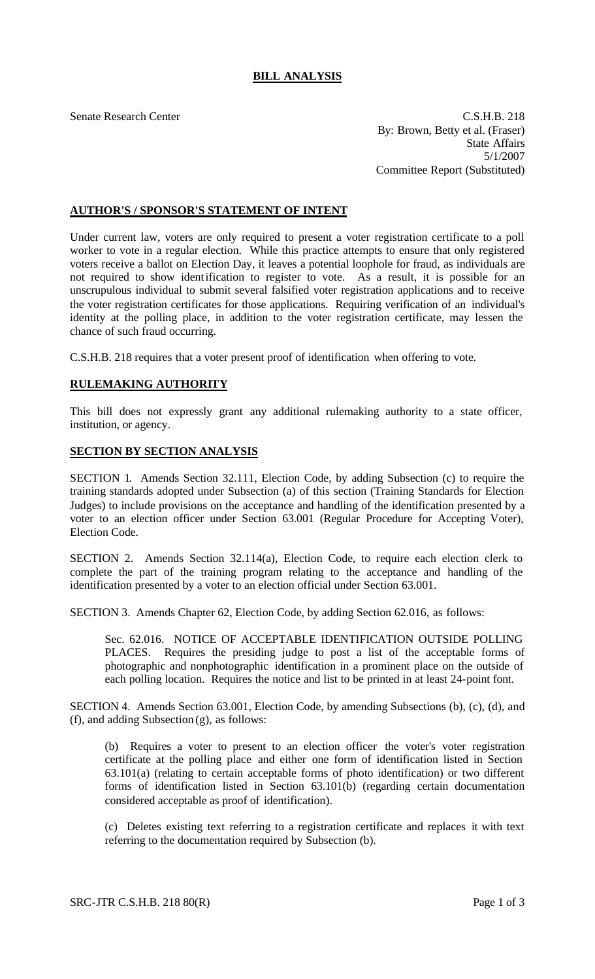## **BILL ANALYSIS**

Senate Research Center C.S.H.B. 218 By: Brown, Betty et al. (Fraser) State Affairs 5/1/2007 Committee Report (Substituted)

## **AUTHOR'S / SPONSOR'S STATEMENT OF INTENT**

Under current law, voters are only required to present a voter registration certificate to a poll worker to vote in a regular election. While this practice attempts to ensure that only registered voters receive a ballot on Election Day, it leaves a potential loophole for fraud, as individuals are not required to show identification to register to vote. As a result, it is possible for an unscrupulous individual to submit several falsified voter registration applications and to receive the voter registration certificates for those applications. Requiring verification of an individual's identity at the polling place, in addition to the voter registration certificate, may lessen the chance of such fraud occurring.

C.S.H.B. 218 requires that a voter present proof of identification when offering to vote.

## **RULEMAKING AUTHORITY**

This bill does not expressly grant any additional rulemaking authority to a state officer, institution, or agency.

## **SECTION BY SECTION ANALYSIS**

SECTION 1. Amends Section 32.111, Election Code, by adding Subsection (c) to require the training standards adopted under Subsection (a) of this section (Training Standards for Election Judges) to include provisions on the acceptance and handling of the identification presented by a voter to an election officer under Section 63.001 (Regular Procedure for Accepting Voter), Election Code.

SECTION 2. Amends Section 32.114(a), Election Code, to require each election clerk to complete the part of the training program relating to the acceptance and handling of the identification presented by a voter to an election official under Section 63.001.

SECTION 3. Amends Chapter 62, Election Code, by adding Section 62.016, as follows:

Sec. 62.016. NOTICE OF ACCEPTABLE IDENTIFICATION OUTSIDE POLLING PLACES. Requires the presiding judge to post a list of the acceptable forms of photographic and nonphotographic identification in a prominent place on the outside of each polling location. Requires the notice and list to be printed in at least 24-point font.

SECTION 4. Amends Section 63.001, Election Code, by amending Subsections (b), (c), (d), and (f), and adding Subsection (g), as follows:

(b) Requires a voter to present to an election officer the voter's voter registration certificate at the polling place and either one form of identification listed in Section 63.101(a) (relating to certain acceptable forms of photo identification) or two different forms of identification listed in Section 63.101(b) (regarding certain documentation considered acceptable as proof of identification).

(c) Deletes existing text referring to a registration certificate and replaces it with text referring to the documentation required by Subsection (b).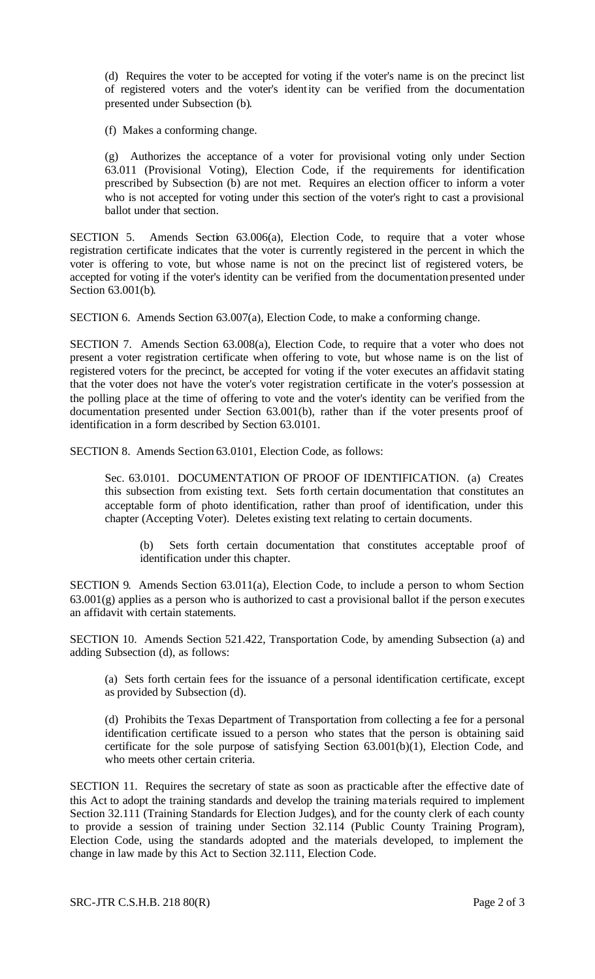(d) Requires the voter to be accepted for voting if the voter's name is on the precinct list of registered voters and the voter's identity can be verified from the documentation presented under Subsection (b).

(f) Makes a conforming change.

(g) Authorizes the acceptance of a voter for provisional voting only under Section 63.011 (Provisional Voting), Election Code, if the requirements for identification prescribed by Subsection (b) are not met. Requires an election officer to inform a voter who is not accepted for voting under this section of the voter's right to cast a provisional ballot under that section.

SECTION 5. Amends Section 63.006(a), Election Code, to require that a voter whose registration certificate indicates that the voter is currently registered in the percent in which the voter is offering to vote, but whose name is not on the precinct list of registered voters, be accepted for voting if the voter's identity can be verified from the documentation presented under Section 63.001(b).

SECTION 6. Amends Section 63.007(a), Election Code, to make a conforming change.

SECTION 7. Amends Section 63.008(a), Election Code, to require that a voter who does not present a voter registration certificate when offering to vote, but whose name is on the list of registered voters for the precinct, be accepted for voting if the voter executes an affidavit stating that the voter does not have the voter's voter registration certificate in the voter's possession at the polling place at the time of offering to vote and the voter's identity can be verified from the documentation presented under Section 63.001(b), rather than if the voter presents proof of identification in a form described by Section 63.0101.

SECTION 8. Amends Section 63.0101, Election Code, as follows:

Sec. 63.0101. DOCUMENTATION OF PROOF OF IDENTIFICATION. (a) Creates this subsection from existing text. Sets forth certain documentation that constitutes an acceptable form of photo identification, rather than proof of identification, under this chapter (Accepting Voter). Deletes existing text relating to certain documents.

(b) Sets forth certain documentation that constitutes acceptable proof of identification under this chapter.

SECTION 9. Amends Section 63.011(a), Election Code, to include a person to whom Section  $63.001(g)$  applies as a person who is authorized to cast a provisional ballot if the person executes an affidavit with certain statements.

SECTION 10. Amends Section 521.422, Transportation Code, by amending Subsection (a) and adding Subsection (d), as follows:

(a) Sets forth certain fees for the issuance of a personal identification certificate, except as provided by Subsection (d).

(d) Prohibits the Texas Department of Transportation from collecting a fee for a personal identification certificate issued to a person who states that the person is obtaining said certificate for the sole purpose of satisfying Section 63.001(b)(1), Election Code, and who meets other certain criteria.

SECTION 11. Requires the secretary of state as soon as practicable after the effective date of this Act to adopt the training standards and develop the training ma terials required to implement Section 32.111 (Training Standards for Election Judges), and for the county clerk of each county to provide a session of training under Section 32.114 (Public County Training Program), Election Code, using the standards adopted and the materials developed, to implement the change in law made by this Act to Section 32.111, Election Code.